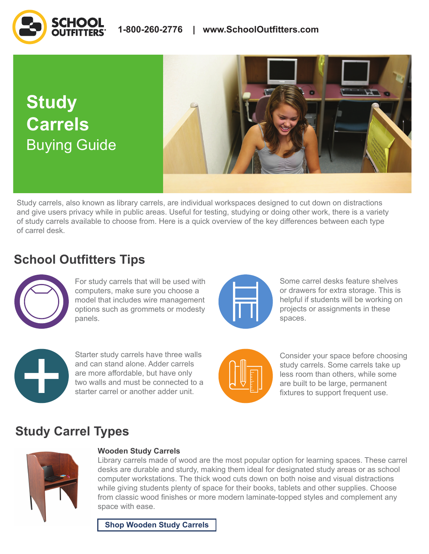**Study Carrels** Buying Guide



Study carrels, also known as library carrels, are individual workspaces designed to cut down on distractions and give users privacy while in public areas. Useful for testing, studying or doing other work, there is a variety of study carrels available to choose from. Here is a quick overview of the key differences between each type of carrel desk.

# **School Outfitters Tips**



For study carrels that will be used with computers, make sure you choose a model that includes wire management options such as grommets or modesty panels.

Starter study carrels have three walls and can stand alone. Adder carrels are more affordable, but have only two walls and must be connected to a starter carrel or another adder unit.



Some carrel desks feature shelves or drawers for extra storage. This is helpful if students will be working on projects or assignments in these spaces.



Consider your space before choosing study carrels. Some carrels take up less room than others, while some are built to be large, permanent fixtures to support frequent use.

# **Study Carrel Types**



## **Wooden Study Carrels**

Library carrels made of wood are the most popular option for learning spaces. These carrel desks are durable and sturdy, making them ideal for designated study areas or as school computer workstations. The thick wood cuts down on both noise and visual distractions while giving students plenty of space for their books, tablets and other supplies. Choose from classic wood finishes or more modern laminate-topped styles and complement any space with ease.

**[Shop Wooden Study Carrels](https://www.schooloutfitters.com/catalog/default/cPath/CAT6_CAT55?page=1&view=grid&filter=v_PanelMaterial_uFilter:%22Wood%22&sc_cid=BuyingGuide_StudyCarrels_ProductLinks_ShopWoodenStudyCarrels)**